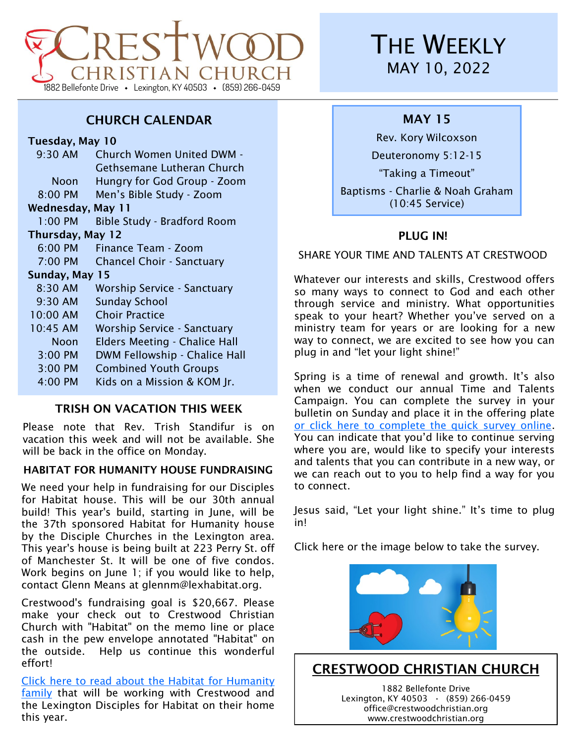

## CHURCH CALENDAR

Tuesday, May 10

| 9:30 AM             | <b>Church Women United DWM -</b>     |
|---------------------|--------------------------------------|
|                     | Gethsemane Lutheran Church           |
| Noon                | Hungry for God Group - Zoom          |
| 8:00 PM             | Men's Bible Study - Zoom             |
| Wednesday, May 11   |                                      |
| $1:00$ PM           | <b>Bible Study - Bradford Room</b>   |
| Thursday, May 12    |                                      |
| 6:00 PM             | Finance Team - Zoom                  |
| $7:00 \, \text{PM}$ | <b>Chancel Choir - Sanctuary</b>     |
| Sunday, May 15      |                                      |
| 8:30 AM             | Worship Service - Sanctuary          |
| $9:30$ AM           | <b>Sunday School</b>                 |
| 10:00 AM            | <b>Choir Practice</b>                |
| 10:45 AM            | <b>Worship Service - Sanctuary</b>   |
| Noon                | <b>Elders Meeting - Chalice Hall</b> |
| 3:00 PM             | DWM Fellowship - Chalice Hall        |
| 3:00 PM             | <b>Combined Youth Groups</b>         |
| $4:00$ PM           | Kids on a Mission & KOM Jr.          |
|                     |                                      |

## TRISH ON VACATION THIS WEEK

Please note that Rev. Trish Standifur is on vacation this week and will not be available. She will be back in the office on Monday.

#### HABITAT FOR HUMANITY HOUSE FUNDRAISING

We need your help in fundraising for our Disciples for Habitat house. This will be our 30th annual build! This year's build, starting in June, will be the 37th sponsored Habitat for Humanity house by the Disciple Churches in the Lexington area. This year's house is being built at 223 Perry St. off of Manchester St. It will be one of five condos. Work begins on June 1; if you would like to help, contact Glenn Means at glennm@lexhabitat.org.

Crestwood's fundraising goal is \$20,667. Please make your check out to Crestwood Christian Church with "Habitat" on the memo line or place cash in the pew envelope annotated "Habitat" on the outside. Help us continue this wonderful effort!

[Click here to read about the Habitat for Humanity](https://www.crestwoodchristian.org/wp-content/uploads/2022/05/Weekly-05102022LinkedArticle.pdf)  [family](https://www.crestwoodchristian.org/wp-content/uploads/2022/05/Weekly-05102022LinkedArticle.pdf) that will be working with Crestwood and the Lexington Disciples for Habitat on their home this year.

# **THE WEEKLY** MAY 10, 2022

## MAY 15

Rev. Kory Wilcoxson

Deuteronomy 5:12-15

"Taking a Timeout"

Baptisms - Charlie & Noah Graham (10:45 Service)

## PLUG IN!

SHARE YOUR TIME AND TALENTS AT CRESTWOOD

Whatever our interests and skills, Crestwood offers so many ways to connect to God and each other through service and ministry. What opportunities speak to your heart? Whether you've served on a ministry team for years or are looking for a new way to connect, we are excited to see how you can plug in and "let your light shine!"

Spring is a time of renewal and growth. It's also when we conduct our annual Time and Talents Campaign. You can complete the survey in your bulletin on Sunday and place it in the offering plate [or click here to complete the quick survey online.](https://docs.google.com/forms/d/e/1FAIpQLSc1-uWCstnEbupbVtKyFFiTpT-aTnfJgoeO-eptf9LXmN5jqA/viewform?vc=0&c=0&w=1&flr=0) You can indicate that you'd like to continue serving where you are, would like to specify your interests and talents that you can contribute in a new way, or we can reach out to you to help find a way for you to connect.

Jesus said, "Let your light shine." It's time to plug in!

Click here or the image below to take the survey.



## CRESTWOOD CHRISTIAN CHURCH

1882 Bellefonte Drive Lexington, KY 40503 **·** (859) 266-0459 office@crestwoodchristian.org www.crestwoodchristian.org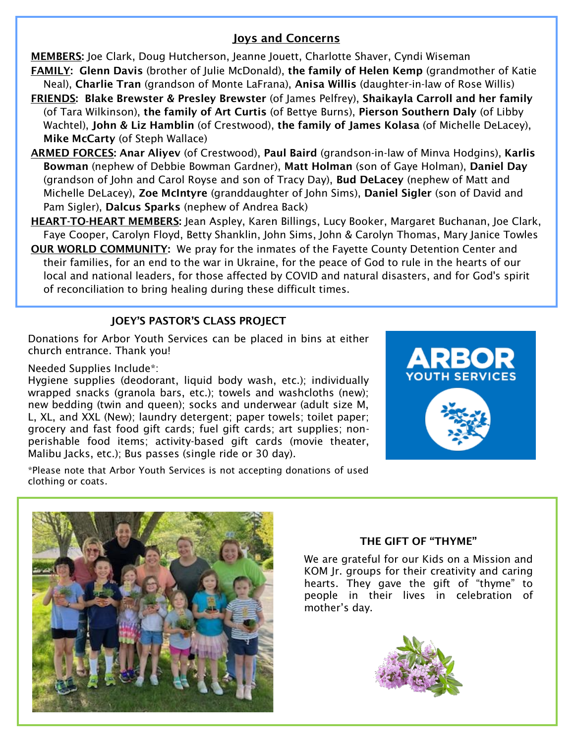#### Joys and Concerns

MEMBERS: Joe Clark, Doug Hutcherson, Jeanne Jouett, Charlotte Shaver, Cyndi Wiseman

- FAMILY: Glenn Davis (brother of Julie McDonald), the family of Helen Kemp (grandmother of Katie Neal), Charlie Tran (grandson of Monte LaFrana), Anisa Willis (daughter-in-law of Rose Willis)
- FRIENDS: Blake Brewster & Presley Brewster (of James Pelfrey), Shaikayla Carroll and her family (of Tara Wilkinson), the family of Art Curtis (of Bettye Burns), Pierson Southern Daly (of Libby Wachtel), John & Liz Hamblin (of Crestwood), the family of James Kolasa (of Michelle DeLacey), Mike McCarty (of Steph Wallace)
- ARMED FORCES: Anar Aliyev (of Crestwood), Paul Baird (grandson-in-law of Minva Hodgins), Karlis Bowman (nephew of Debbie Bowman Gardner), Matt Holman (son of Gaye Holman), Daniel Day (grandson of John and Carol Royse and son of Tracy Day), Bud DeLacey (nephew of Matt and Michelle DeLacey), Zoe McIntyre (granddaughter of John Sims), Daniel Sigler (son of David and Pam Sigler), Dalcus Sparks (nephew of Andrea Back)
- HEART-TO-HEART MEMBERS: Jean Aspley, Karen Billings, Lucy Booker, Margaret Buchanan, Joe Clark, Faye Cooper, Carolyn Floyd, Betty Shanklin, John Sims, John & Carolyn Thomas, Mary Janice Towles
- OUR WORLD COMMUNITY: We pray for the inmates of the Fayette County Detention Center and their families, for an end to the war in Ukraine, for the peace of God to rule in the hearts of our local and national leaders, for those affected by COVID and natural disasters, and for God's spirit of reconciliation to bring healing during these difficult times.

## JOEY'S PASTOR'S CLASS PROJECT

Donations for Arbor Youth Services can be placed in bins at either church entrance. Thank you!

#### Needed Supplies Include\*:

Hygiene supplies (deodorant, liquid body wash, etc.); individually wrapped snacks (granola bars, etc.); towels and washcloths (new); new bedding (twin and queen); socks and underwear (adult size M, L, XL, and XXL (New); laundry detergent; paper towels; toilet paper; grocery and fast food gift cards; fuel gift cards; art supplies; nonperishable food items; activity-based gift cards (movie theater, Malibu Jacks, etc.); Bus passes (single ride or 30 day).



\*Please note that Arbor Youth Services is not accepting donations of used clothing or coats.



#### THE GIFT OF "THYME"

We are grateful for our Kids on a Mission and KOM Jr. groups for their creativity and caring hearts. They gave the gift of "thyme" to people in their lives in celebration of mother's day.

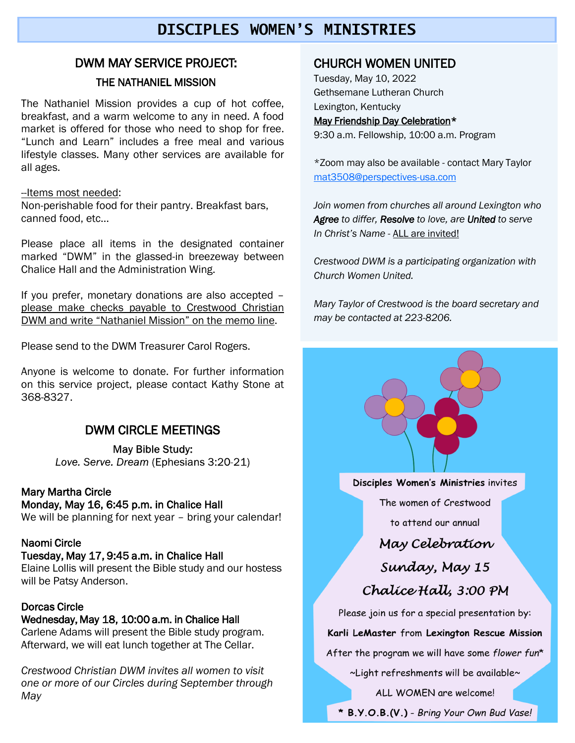## **DISCIPLES WOMEN'S**

## DWM MAY SERVICE PROJECT:

#### THE NATHANIEL MISSION

The Nathaniel Mission provides a cup of hot coffee, breakfast, and a warm welcome to any in need. A food market is offered for those who need to shop for free. "Lunch and Learn" includes a free meal and various lifestyle classes. Many other services are available for all ages.

#### --Items most needed:

Non-perishable food for their pantry. Breakfast bars, canned food, etc…

Please place all items in the designated container marked "DWM" in the glassed-in breezeway between Chalice Hall and the Administration Wing.

If you prefer, monetary donations are also accepted – please make checks payable to Crestwood Christian DWM and write "Nathaniel Mission" on the memo line.

Please send to the DWM Treasurer Carol Rogers.

Anyone is welcome to donate. For further information on this service project, please contact Kathy Stone at 368-8327.

## DWM CIRCLE MEETINGS

Love. Serve. Dream (Ephesians 3:20-21)

#### Mary Martha Circle

#### Monday, May 16, 6:45 p.m. in Chalice Hall

We will be planning for next year - bring your calendar!

#### Naomi Circle

#### Tuesday, May 17, 9:45 a.m. in Chalice Hall

Elaine Lollis will present the Bible study and our hostess will be Patsy Anderson.

#### Dorcas Circle

#### Wednesday, May 18, 10:00 a.m. in Chalice Hall

Carlene Adams will present the Bible study program. Afterward, we will eat lunch together at The Cellar.

*Crestwood Christian DWM invites all women to visit one or more of our Circles during September through May*

### CHURCH WOMEN UNITED

Tuesday, May 10, 2022 Gethsemane Lutheran Church Lexington, Kentucky May Friendship Day Celebration\* 9:30 a.m. Fellowship, 10:00 a.m. Program

\*Zoom may also be available - contact Mary Taylor [mat3508@perspectives-usa.com](mailto:mat3508@perspectives-usa.com)

*Join women from churches all around Lexington who Agree to differ, Resolve to love, are United to serve In Christ's Name -* ALL are invited!

*Crestwood DWM is a participating organization with Church Women United.*

*Mary Taylor of Crestwood is the board secretary and may be contacted at 223-8206.*

Disciples Women's Ministries invites

The women of Crestwood

to attend our annual

## May Celebration

# Sunday, May 15

Chalice Hall, 3:00 PM

Please join us for a special presentation by:

#### Karli LeMaster from Lexington Rescue Mission

After the program we will have some flower fun\*

~Light refreshments will be available~

ALL WOMEN are welcome!

\* B.Y.O.B.(V.) - Bring Your Own Bud Vase!